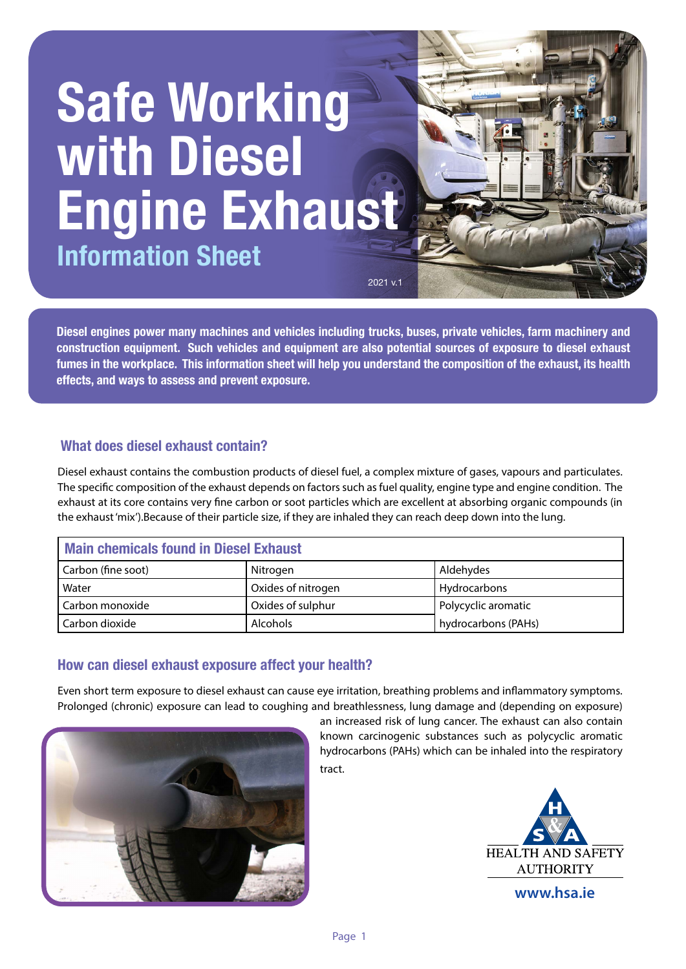# **Safe Working with Diesel Engine Exhaust Information Sheet**

**Diesel engines power many machines and vehicles including trucks, buses, private vehicles, farm machinery and construction equipment. Such vehicles and equipment are also potential sources of exposure to diesel exhaust fumes in the workplace. This information sheet will help you understand the composition of the exhaust, its health effects, and ways to assess and prevent exposure.**

2021 v.1

## **What does diesel exhaust contain?**

Diesel exhaust contains the combustion products of diesel fuel, a complex mixture of gases, vapours and particulates. The specific composition of the exhaust depends on factors such as fuel quality, engine type and engine condition. The exhaust at its core contains very fine carbon or soot particles which are excellent at absorbing organic compounds (in the exhaust 'mix').Because of their particle size, if they are inhaled they can reach deep down into the lung.

| Main chemicals found in Diesel Exhaust |                    |                     |  |
|----------------------------------------|--------------------|---------------------|--|
| Carbon (fine soot)                     | Nitrogen           | Aldehydes           |  |
| Water                                  | Oxides of nitrogen | Hydrocarbons        |  |
| Carbon monoxide                        | Oxides of sulphur  | Polycyclic aromatic |  |
| Carbon dioxide                         | <b>Alcohols</b>    | hydrocarbons (PAHs) |  |

## **How can diesel exhaust exposure affect your health?**

Even short term exposure to diesel exhaust can cause eye irritation, breathing problems and inflammatory symptoms. Prolonged (chronic) exposure can lead to coughing and breathlessness, lung damage and (depending on exposure)



an increased risk of lung cancer. The exhaust can also contain known carcinogenic substances such as polycyclic aromatic hydrocarbons (PAHs) which can be inhaled into the respiratory tract.



**Jan 2016**

**www.hsa.ie**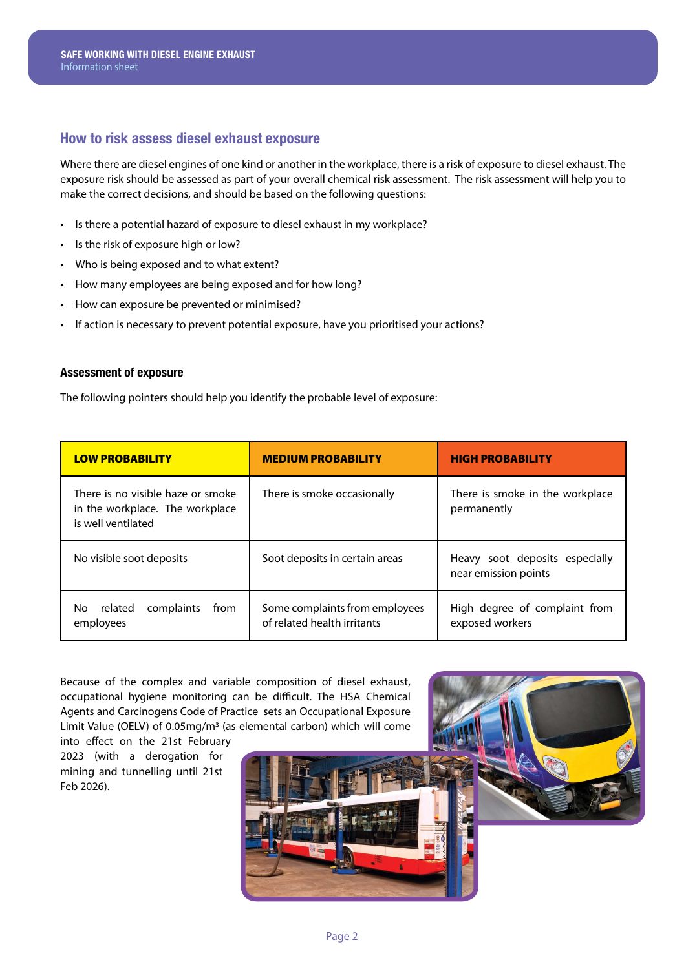### **How to risk assess diesel exhaust exposure**

Where there are diesel engines of one kind or another in the workplace, there is a risk of exposure to diesel exhaust. The exposure risk should be assessed as part of your overall chemical risk assessment. The risk assessment will help you to make the correct decisions, and should be based on the following questions:

- Is there a potential hazard of exposure to diesel exhaust in my workplace?
- Is the risk of exposure high or low?
- Who is being exposed and to what extent?
- How many employees are being exposed and for how long?
- How can exposure be prevented or minimised?
- If action is necessary to prevent potential exposure, have you prioritised your actions?

#### **Assessment of exposure**

The following pointers should help you identify the probable level of exposure:

| <b>LOW PROBABILITY</b>                                                                     | <b>MEDIUM PROBABILITY</b>                                     | <b>HIGH PROBABILITY</b>                                |
|--------------------------------------------------------------------------------------------|---------------------------------------------------------------|--------------------------------------------------------|
| There is no visible haze or smoke<br>in the workplace. The workplace<br>is well ventilated | There is smoke occasionally                                   | There is smoke in the workplace<br>permanently         |
| No visible soot deposits                                                                   | Soot deposits in certain areas                                | Heavy soot deposits especially<br>near emission points |
| complaints<br>related<br>No.<br>from<br>employees                                          | Some complaints from employees<br>of related health irritants | High degree of complaint from<br>exposed workers       |

Because of the complex and variable composition of diesel exhaust, occupational hygiene monitoring can be difficult. The HSA Chemical Agents and Carcinogens Code of Practice sets an Occupational Exposure Limit Value (OELV) of 0.05mg/m3 (as elemental carbon) which will come

into effect on the 21st February 2023 (with a derogation for mining and tunnelling until 21st Feb 2026).

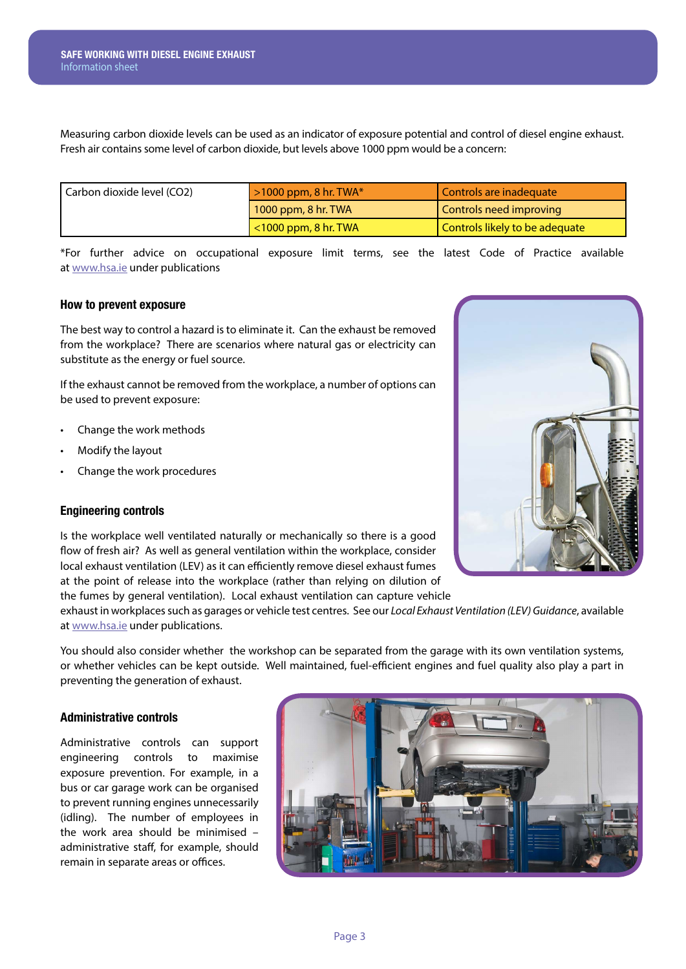Measuring carbon dioxide levels can be used as an indicator of exposure potential and control of diesel engine exhaust. Fresh air contains some level of carbon dioxide, but levels above 1000 ppm would be a concern:

| Carbon dioxide level (CO2) | $\geq 1000$ ppm, 8 hr. TWA* | Controls are inadequate        |
|----------------------------|-----------------------------|--------------------------------|
|                            | $1000$ ppm, 8 hr. TWA       | Controls need improving        |
|                            | $\sim$ 1000 ppm, 8 hr. TWA  | Controls likely to be adequate |

\*For further advice on occupational exposure limit terms, see the latest Code of Practice available at www.hsa.ie under publications

#### **How to prevent exposure**

The best way to control a hazard is to eliminate it. Can the exhaust be removed from the workplace? There are scenarios where natural gas or electricity can substitute as the energy or fuel source.

If the exhaust cannot be removed from the workplace, a number of options can be used to prevent exposure:

- Change the work methods
- Modify the layout
- Change the work procedures

#### **Engineering controls**

Is the workplace well ventilated naturally or mechanically so there is a good flow of fresh air? As well as general ventilation within the workplace, consider local exhaust ventilation (LEV) as it can efficiently remove diesel exhaust fumes at the point of release into the workplace (rather than relying on dilution of the fumes by general ventilation). Local exhaust ventilation can capture vehicle

exhaust in workplaces such as garages or vehicle test centres. See our *Local Exhaust Ventilation (LEV) Guidance*, available at www.hsa.ie under publications.

You should also consider whether the workshop can be separated from the garage with its own ventilation systems, or whether vehicles can be kept outside. Well maintained, fuel-efficient engines and fuel quality also play a part in preventing the generation of exhaust.

#### **Administrative controls**

Administrative controls can support engineering controls to maximise exposure prevention. For example, in a bus or car garage work can be organised to prevent running engines unnecessarily (idling). The number of employees in the work area should be minimised – administrative staff, for example, should remain in separate areas or offices.